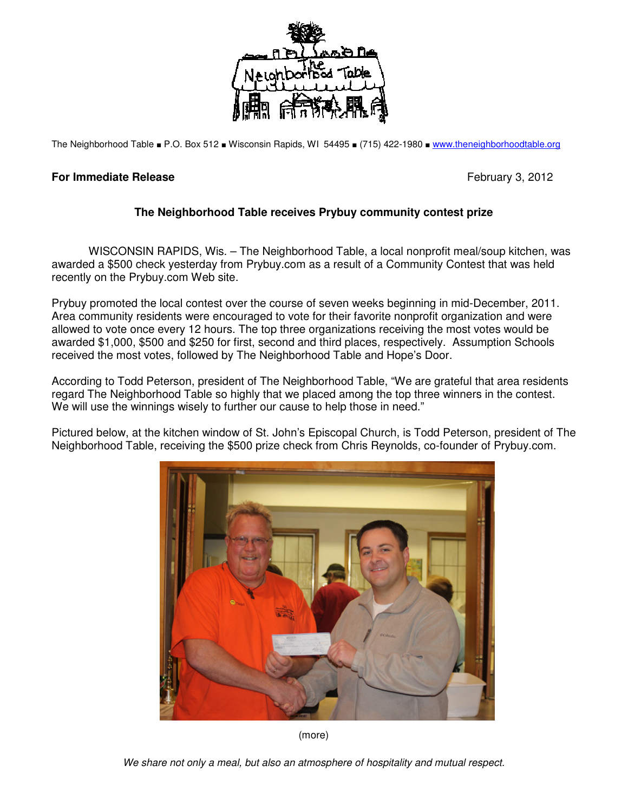

The Neighborhood Table ■ P.O. Box 512 ■ Wisconsin Rapids, WI 54495 ■ (715) 422-1980 ■ www.theneighborhoodtable.org

## **For Immediate Release**  February 3, 2012

## **The Neighborhood Table receives Prybuy community contest prize**

 WISCONSIN RAPIDS, Wis. – The Neighborhood Table, a local nonprofit meal/soup kitchen, was awarded a \$500 check yesterday from Prybuy.com as a result of a Community Contest that was held recently on the Prybuy.com Web site.

Prybuy promoted the local contest over the course of seven weeks beginning in mid-December, 2011. Area community residents were encouraged to vote for their favorite nonprofit organization and were allowed to vote once every 12 hours. The top three organizations receiving the most votes would be awarded \$1,000, \$500 and \$250 for first, second and third places, respectively. Assumption Schools received the most votes, followed by The Neighborhood Table and Hope's Door.

According to Todd Peterson, president of The Neighborhood Table, "We are grateful that area residents regard The Neighborhood Table so highly that we placed among the top three winners in the contest. We will use the winnings wisely to further our cause to help those in need."

Pictured below, at the kitchen window of St. John's Episcopal Church, is Todd Peterson, president of The Neighborhood Table, receiving the \$500 prize check from Chris Reynolds, co-founder of Prybuy.com.



(more)

We share not only a meal, but also an atmosphere of hospitality and mutual respect.